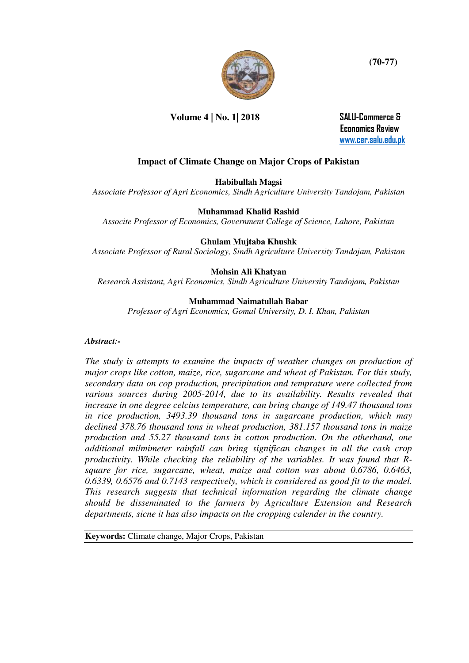

**Volume 4 | No. 1| 2018 SALU-Commerce &** 

 **Economics Review [www.cer.salu.edu.pk](http://www.cer.salu.edu.pk/)** 

# **Impact of Climate Change on Major Crops of Pakistan**

### **Habibullah Magsi**

*Associate Professor of Agri Economics, Sindh Agriculture University Tandojam, Pakistan* 

#### **Muhammad Khalid Rashid**

*Associte Professor of Economics, Government College of Science, Lahore, Pakistan* 

#### **Ghulam Mujtaba Khushk**

*Associate Professor of Rural Sociology, Sindh Agriculture University Tandojam, Pakistan* 

#### **Mohsin Ali Khatyan**

*Research Assistant, Agri Economics, Sindh Agriculture University Tandojam, Pakistan* 

#### **Muhammad Naimatullah Babar**

*Professor of Agri Economics, Gomal University, D. I. Khan, Pakistan* 

#### *Abstract:-*

*The study is attempts to examine the impacts of weather changes on production of major crops like cotton, maize, rice, sugarcane and wheat of Pakistan. For this study, secondary data on cop production, precipitation and temprature were collected from various sources during 2005-2014, due to its availability. Results revealed that increase in one degree celcius temperature, can bring change of 149.47 thousand tons in rice production, 3493.39 thousand tons in sugarcane production, which may declined 378.76 thousand tons in wheat production, 381.157 thousand tons in maize production and 55.27 thousand tons in cotton production. On the otherhand, one additional milmimeter rainfall can bring significan changes in all the cash crop productivity. While checking the reliability of the variables. It was found that Rsquare for rice, sugarcane, wheat, maize and cotton was about 0.6786, 0.6463, 0.6339, 0.6576 and 0.7143 respectively, which is considered as good fit to the model. This research suggests that technical information regarding the climate change should be disseminated to the farmers by Agriculture Extension and Research departments, sicne it has also impacts on the cropping calender in the country.* 

**Keywords:** Climate change, Major Crops, Pakistan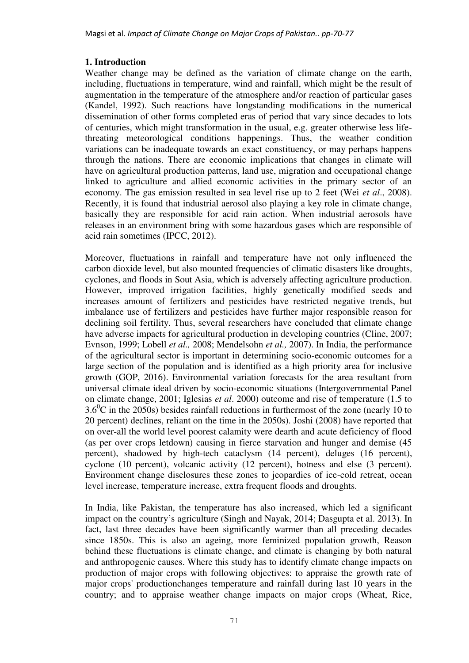### **1. Introduction**

Weather change may be defined as the variation of climate change on the earth, including, fluctuations in temperature, wind and rainfall, which might be the result of augmentation in the temperature of the atmosphere and/or reaction of particular gases (Kandel, 1992). Such reactions have longstanding modifications in the numerical dissemination of other forms completed eras of period that vary since decades to lots of centuries, which might transformation in the usual, e.g. greater otherwise less lifethreating meteorological conditions happenings. Thus, the weather condition variations can be inadequate towards an exact constituency, or may perhaps happens through the nations. There are economic implications that changes in climate will have on agricultural production patterns, land use, migration and occupational change linked to agriculture and allied economic activities in the primary sector of an economy. The gas emission resulted in sea level rise up to 2 feet (Wei *et al*., 2008). Recently, it is found that industrial aerosol also playing a key role in climate change, basically they are responsible for acid rain action. When industrial aerosols have releases in an environment bring with some hazardous gases which are responsible of acid rain sometimes (IPCC, 2012).

Moreover, fluctuations in rainfall and temperature have not only influenced the carbon dioxide level, but also mounted frequencies of climatic disasters like droughts, cyclones, and floods in Sout Asia, which is adversely affecting agriculture production. However, improved irrigation facilities, highly genetically modified seeds and increases amount of fertilizers and pesticides have restricted negative trends, but imbalance use of fertilizers and pesticides have further major responsible reason for declining soil fertility. Thus, several researchers have concluded that climate change have adverse impacts for agricultural production in developing countries (Cline, 2007; Evnson, 1999; Lobell *et al.,* 2008; Mendelsohn *et al.,* 2007). In India, the performance of the agricultural sector is important in determining socio-economic outcomes for a large section of the population and is identified as a high priority area for inclusive growth (GOP, 2016). Environmental variation forecasts for the area resultant from universal climate ideal driven by socio-economic situations (Intergovernmental Panel on climate change, 2001; Iglesias *et al*. 2000) outcome and rise of temperature (1.5 to  $3.6^{\circ}$ C in the 2050s) besides rainfall reductions in furthermost of the zone (nearly 10 to 20 percent) declines, reliant on the time in the 2050s). Joshi (2008) have reported that on over-all the world level poorest calamity were dearth and acute deficiency of flood (as per over crops letdown) causing in fierce starvation and hunger and demise (45 percent), shadowed by high-tech cataclysm (14 percent), deluges (16 percent), cyclone (10 percent), volcanic activity (12 percent), hotness and else (3 percent). Environment change disclosures these zones to jeopardies of ice-cold retreat, ocean level increase, temperature increase, extra frequent floods and droughts.

In India, like Pakistan, the temperature has also increased, which led a significant impact on the country's agriculture (Singh and Nayak, 2014; Dasgupta et al. 2013). In fact, last three decades have been significantly warmer than all preceding decades since 1850s. This is also an ageing, more feminized population growth, Reason behind these fluctuations is climate change, and climate is changing by both natural and anthropogenic causes. Where this study has to identify climate change impacts on production of major crops with following objectives: to appraise the growth rate of major crops' productionchanges temperature and rainfall during last 10 years in the country; and to appraise weather change impacts on major crops (Wheat, Rice,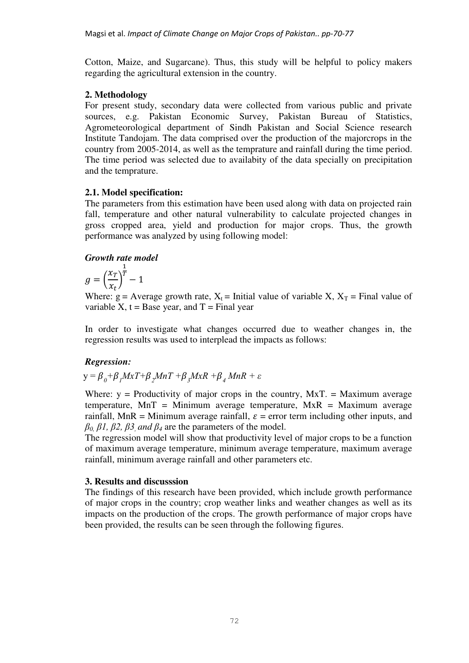Cotton, Maize, and Sugarcane). Thus, this study will be helpful to policy makers regarding the agricultural extension in the country.

## **2. Methodology**

For present study, secondary data were collected from various public and private sources, e.g. Pakistan Economic Survey, Pakistan Bureau of Statistics, Agrometeorological department of Sindh Pakistan and Social Science research Institute Tandojam. The data comprised over the production of the majorcrops in the country from 2005-2014, as well as the temprature and rainfall during the time period. The time period was selected due to availabity of the data specially on precipitation and the temprature.

## **2.1. Model specification:**

The parameters from this estimation have been used along with data on projected rain fall, temperature and other natural vulnerability to calculate projected changes in gross cropped area, yield and production for major crops. Thus, the growth performance was analyzed by using following model:

# *Growth rate model*

$$
g = \left(\frac{x_T}{x_t}\right)^{\frac{1}{T}} - 1
$$

Where:  $g =$  Average growth rate,  $X_t =$  Initial value of variable X,  $X_T =$  Final value of variable X,  $t = Base$  year, and  $T = Final$  year

In order to investigate what changes occurred due to weather changes in, the regression results was used to interplead the impacts as follows:

# *Regression:*

$$
y = \beta_0 + \beta_1 M x T + \beta_2 M n T + \beta_3 M x R + \beta_4 M n R + \varepsilon
$$

Where:  $y =$  Productivity of major crops in the country,  $MxT =$  Maximum average temperature,  $MnT = Minimum average temperature, \, MxR = Maximum average$ rainfall, MnR = Minimum average rainfall,  $\varepsilon$  = error term including other inputs, and  $β$ <sup>0</sup>,  $β$ 1,  $β$ 2,  $β$ 3 *and*  $β$ <sub>4</sub> are the parameters of the model.

The regression model will show that productivity level of major crops to be a function of maximum average temperature, minimum average temperature, maximum average rainfall, minimum average rainfall and other parameters etc.

## **3. Results and discusssion**

The findings of this research have been provided, which include growth performance of major crops in the country; crop weather links and weather changes as well as its impacts on the production of the crops. The growth performance of major crops have been provided, the results can be seen through the following figures.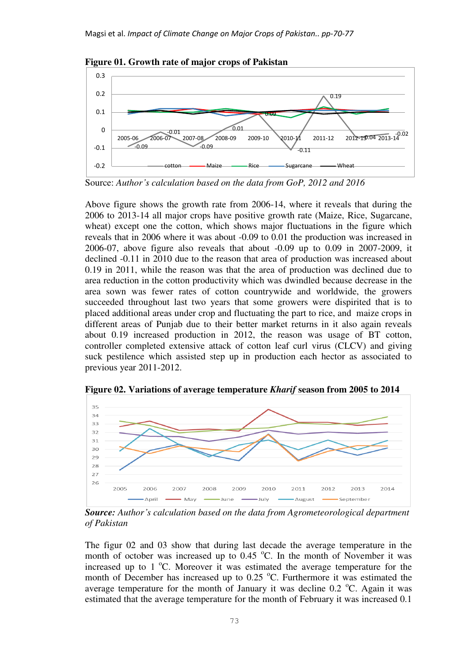

**Figure 01. Growth rate of major crops of Pakistan** 

Source: *Author's calculation based on the data from GoP, 2012 and 2016*

Above figure shows the growth rate from 2006-14, where it reveals that during the 2006 to 2013-14 all major crops have positive growth rate (Maize, Rice, Sugarcane, wheat) except one the cotton, which shows major fluctuations in the figure which reveals that in 2006 where it was about -0.09 to 0.01 the production was increased in 2006-07, above figure also reveals that about -0.09 up to 0.09 in 2007-2009, it declined -0.11 in 2010 due to the reason that area of production was increased about 0.19 in 2011, while the reason was that the area of production was declined due to area reduction in the cotton productivity which was dwindled because decrease in the area sown was fewer rates of cotton countrywide and worldwide, the growers succeeded throughout last two years that some growers were dispirited that is to placed additional areas under crop and fluctuating the part to rice, and maize crops in different areas of Punjab due to their better market returns in it also again reveals about 0.19 increased production in 2012, the reason was usage of BT cotton, controller completed extensive attack of cotton leaf curl virus (CLCV) and giving suck pestilence which assisted step up in production each hector as associated to previous year 2011-2012.



**Figure 02. Variations of average temperature** *Kharif* **season from 2005 to 2014** 

*Source: Author's calculation based on the data from Agrometeorological department of Pakistan*

The figur 02 and 03 show that during last decade the average temperature in the month of october was increased up to  $0.45\degree$ C. In the month of November it was increased up to  $1^{\circ}$ C. Moreover it was estimated the average temperature for the month of December has increased up to  $0.25\text{ °C}$ . Furthermore it was estimated the average temperature for the month of January it was decline  $0.2 \text{ °C}$ . Again it was estimated that the average temperature for the month of February it was increased 0.1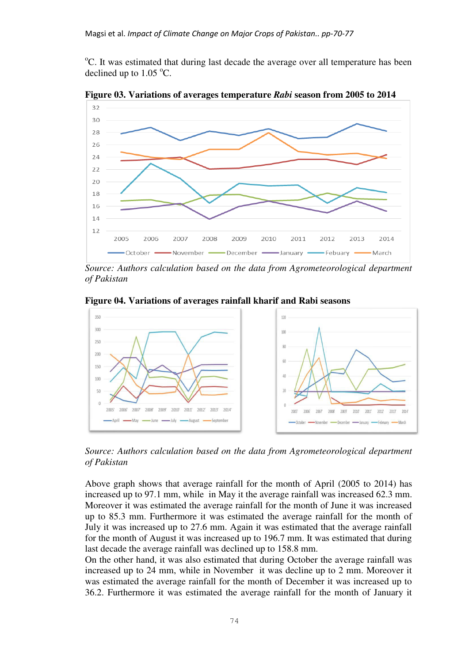<sup>o</sup>C. It was estimated that during last decade the average over all temperature has been declined up to  $1.05 \degree C$ .



**Figure 03. Variations of averages temperature** *Rabi* **season from 2005 to 2014** 

*Source: Authors calculation based on the data from Agrometeorological department of Pakistan* 

**Figure 04. Variations of averages rainfall kharif and Rabi seasons** 



*Source: Authors calculation based on the data from Agrometeorological department of Pakistan* 

Above graph shows that average rainfall for the month of April (2005 to 2014) has increased up to 97.1 mm, while in May it the average rainfall was increased 62.3 mm. Moreover it was estimated the average rainfall for the month of June it was increased up to 85.3 mm. Furthermore it was estimated the average rainfall for the month of July it was increased up to 27.6 mm. Again it was estimated that the average rainfall for the month of August it was increased up to 196.7 mm. It was estimated that during last decade the average rainfall was declined up to 158.8 mm.

On the other hand, it was also estimated that during October the average rainfall was increased up to 24 mm, while in November it was decline up to 2 mm. Moreover it was estimated the average rainfall for the month of December it was increased up to 36.2. Furthermore it was estimated the average rainfall for the month of January it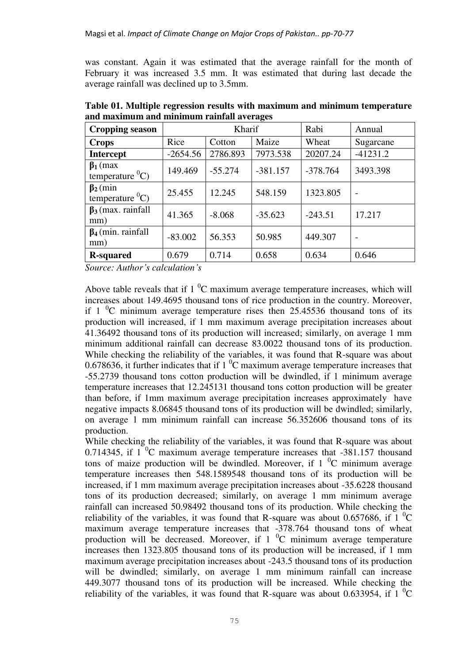was constant. Again it was estimated that the average rainfall for the month of February it was increased 3.5 mm. It was estimated that during last decade the average rainfall was declined up to 3.5mm.

| <b>Cropping season</b>                    | Kharif     |           |            | Rabi       | Annual                   |
|-------------------------------------------|------------|-----------|------------|------------|--------------------------|
| <b>Crops</b>                              | Rice       | Cotton    | Maize      | Wheat      | Sugarcane                |
| <b>Intercept</b>                          | $-2654.56$ | 2786.893  | 7973.538   | 20207.24   | $-41231.2$               |
| $\beta_1$ (max<br>temperature ${}^{0}C$ ) | 149.469    | $-55.274$ | $-381.157$ | $-378.764$ | 3493.398                 |
| $\beta_2$ (min<br>temperature ${}^{0}C$ ) | 25.455     | 12.245    | 548.159    | 1323.805   | $\overline{\phantom{a}}$ |
| $\beta_3$ (max. rainfall<br>mm)           | 41.365     | $-8.068$  | $-35.623$  | $-243.51$  | 17.217                   |
| $\beta_4$ (min. rainfall<br>mm)           | $-83.002$  | 56.353    | 50.985     | 449.307    |                          |
| <b>R-squared</b>                          | 0.679      | 0.714     | 0.658      | 0.634      | 0.646                    |

**Table 01. Multiple regression results with maximum and minimum temperature and maximum and minimum rainfall averages** 

*Source: Author's calculation's* 

Above table reveals that if  $1<sup>0</sup>C$  maximum average temperature increases, which will increases about 149.4695 thousand tons of rice production in the country. Moreover, if  $1 \degree$ C minimum average temperature rises then 25.45536 thousand tons of its production will increased, if 1 mm maximum average precipitation increases about 41.36492 thousand tons of its production will increased; similarly, on average 1 mm minimum additional rainfall can decrease 83.0022 thousand tons of its production. While checking the reliability of the variables, it was found that R-square was about 0.678636, it further indicates that if  $1<sup>0</sup>C$  maximum average temperature increases that -55.2739 thousand tons cotton production will be dwindled, if 1 minimum average temperature increases that 12.245131 thousand tons cotton production will be greater than before, if 1mm maximum average precipitation increases approximately have negative impacts 8.06845 thousand tons of its production will be dwindled; similarly, on average 1 mm minimum rainfall can increase 56.352606 thousand tons of its production.

While checking the reliability of the variables, it was found that R-square was about 0.714345, if  $1<sup>0</sup>C$  maximum average temperature increases that -381.157 thousand tons of maize production will be dwindled. Moreover, if  $1<sup>0</sup>C$  minimum average temperature increases then 548.1589548 thousand tons of its production will be increased, if 1 mm maximum average precipitation increases about -35.6228 thousand tons of its production decreased; similarly, on average 1 mm minimum average rainfall can increased 50.98492 thousand tons of its production. While checking the reliability of the variables, it was found that R-square was about 0.657686, if 1  $\mathrm{C}$ maximum average temperature increases that -378.764 thousand tons of wheat production will be decreased. Moreover, if  $1 \degree C$  minimum average temperature increases then 1323.805 thousand tons of its production will be increased, if 1 mm maximum average precipitation increases about -243.5 thousand tons of its production will be dwindled; similarly, on average 1 mm minimum rainfall can increase 449.3077 thousand tons of its production will be increased. While checking the reliability of the variables, it was found that R-square was about 0.633954, if 1  $^{\circ}$ C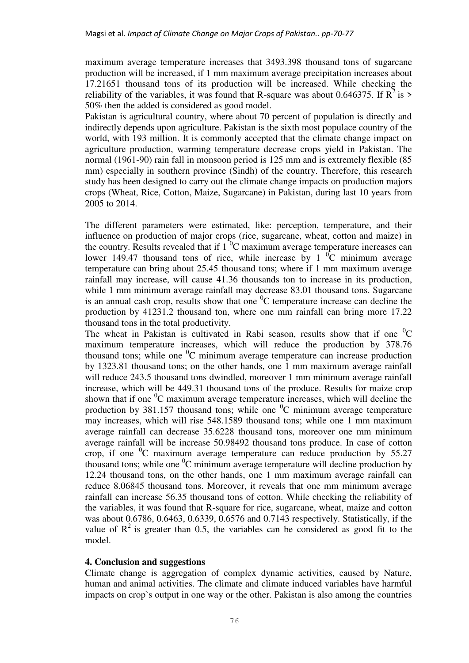maximum average temperature increases that 3493.398 thousand tons of sugarcane production will be increased, if 1 mm maximum average precipitation increases about 17.21651 thousand tons of its production will be increased. While checking the reliability of the variables, it was found that R-square was about 0.646375. If  $R^2$  is > 50% then the added is considered as good model.

Pakistan is agricultural country, where about 70 percent of population is directly and indirectly depends upon agriculture. Pakistan is the sixth most populace country of the world, with 193 million. It is commonly accepted that the climate change impact on agriculture production, warming temperature decrease crops yield in Pakistan. The normal (1961-90) rain fall in monsoon period is 125 mm and is extremely flexible (85 mm) especially in southern province (Sindh) of the country. Therefore, this research study has been designed to carry out the climate change impacts on production majors crops (Wheat, Rice, Cotton, Maize, Sugarcane) in Pakistan, during last 10 years from 2005 to 2014.

The different parameters were estimated, like: perception, temperature, and their influence on production of major crops (rice, sugarcane, wheat, cotton and maize) in the country. Results revealed that if  $1<sup>0</sup>C$  maximum average temperature increases can lower 149.47 thousand tons of rice, while increase by 1  $^{0}$ C minimum average temperature can bring about 25.45 thousand tons; where if 1 mm maximum average rainfall may increase, will cause 41.36 thousands ton to increase in its production, while 1 mm minimum average rainfall may decrease 83.01 thousand tons. Sugarcane is an annual cash crop, results show that one  ${}^{0}C$  temperature increase can decline the production by 41231.2 thousand ton, where one mm rainfall can bring more 17.22 thousand tons in the total productivity.

The wheat in Pakistan is cultivated in Rabi season, results show that if one  ${}^{0}C$ maximum temperature increases, which will reduce the production by 378.76 thousand tons; while one  ${}^{0}C$  minimum average temperature can increase production by 1323.81 thousand tons; on the other hands, one 1 mm maximum average rainfall will reduce 243.5 thousand tons dwindled, moreover 1 mm minimum average rainfall increase, which will be 449.31 thousand tons of the produce. Results for maize crop shown that if one  ${}^{0}C$  maximum average temperature increases, which will decline the production by 381.157 thousand tons; while one  ${}^{0}C$  minimum average temperature may increases, which will rise 548.1589 thousand tons; while one 1 mm maximum average rainfall can decrease 35.6228 thousand tons, moreover one mm minimum average rainfall will be increase 50.98492 thousand tons produce. In case of cotton crop, if one  ${}^{0}C$  maximum average temperature can reduce production by 55.27 thousand tons; while one  ${}^{0}C$  minimum average temperature will decline production by 12.24 thousand tons, on the other hands, one 1 mm maximum average rainfall can reduce 8.06845 thousand tons. Moreover, it reveals that one mm minimum average rainfall can increase 56.35 thousand tons of cotton. While checking the reliability of the variables, it was found that R-square for rice, sugarcane, wheat, maize and cotton was about 0.6786, 0.6463, 0.6339, 0.6576 and 0.7143 respectively. Statistically, if the value of  $\mathbb{R}^2$  is greater than 0.5, the variables can be considered as good fit to the model.

### **4. Conclusion and suggestions**

Climate change is aggregation of complex dynamic activities, caused by Nature, human and animal activities. The climate and climate induced variables have harmful impacts on crop`s output in one way or the other. Pakistan is also among the countries